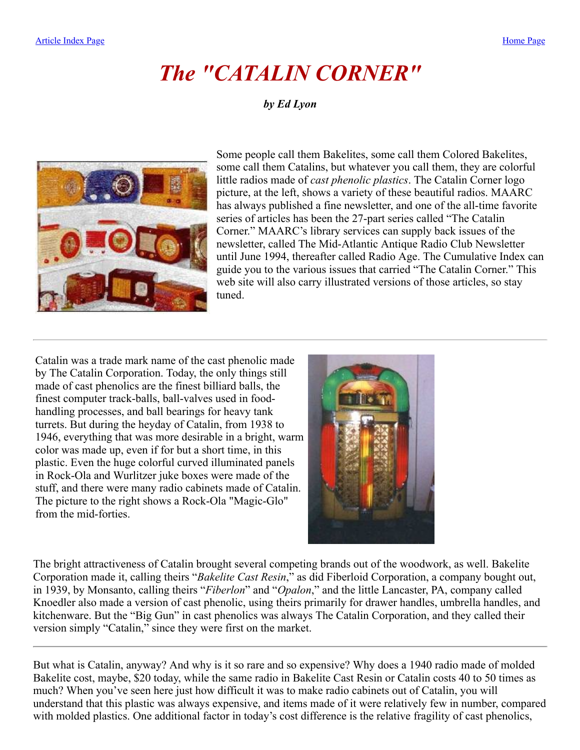# *The "CATALIN CORNER"*

#### *by Ed Lyon*

<span id="page-0-0"></span>

Some people call them Bakelites, some call them Colored Bakelites, some call them Catalins, but whatever you call them, they are colorful little radios made of *cast phenolic plastics*. The Catalin Corner logo picture, at the left, shows a variety of these beautiful radios. MAARC has always published a fine newsletter, and one of the all-time favorite series of articles has been the 27-part series called "The Catalin Corner." MAARC's library services can supply back issues of the newsletter, called The Mid-Atlantic Antique Radio Club Newsletter until June 1994, thereafter called Radio Age. The Cumulative Index can guide you to the various issues that carried "The Catalin Corner." This web site will also carry illustrated versions of those articles, so stay tuned.

Catalin was a trade mark name of the cast phenolic made by The Catalin Corporation. Today, the only things still made of cast phenolics are the finest billiard balls, the finest computer track-balls, ball-valves used in foodhandling processes, and ball bearings for heavy tank turrets. But during the heyday of Catalin, from 1938 to 1946, everything that was more desirable in a bright, warm color was made up, even if for but a short time, in this plastic. Even the huge colorful curved illuminated panels in Rock-Ola and Wurlitzer juke boxes were made of the stuff, and there were many radio cabinets made of Catalin. The picture to the right shows a Rock-Ola "Magic-Glo" from the mid-forties.



The bright attractiveness of Catalin brought several competing brands out of the woodwork, as well. Bakelite Corporation made it, calling theirs "*Bakelite Cast Resin*," as did Fiberloid Corporation, a company bought out, in 1939, by Monsanto, calling theirs "*Fiberlon*" and "*Opalon*," and the little Lancaster, PA, company called Knoedler also made a version of cast phenolic, using theirs primarily for drawer handles, umbrella handles, and kitchenware. But the "Big Gun" in cast phenolics was always The Catalin Corporation, and they called their version simply "Catalin," since they were first on the market.

But what is Catalin, anyway? And why is it so rare and so expensive? Why does a 1940 radio made of molded Bakelite cost, maybe, \$20 today, while the same radio in Bakelite Cast Resin or Catalin costs 40 to 50 times as much? When you've seen here just how difficult it was to make radio cabinets out of Catalin, you will understand that this plastic was always expensive, and items made of it were relatively few in number, compared with molded plastics. One additional factor in today's cost difference is the relative fragility of cast phenolics,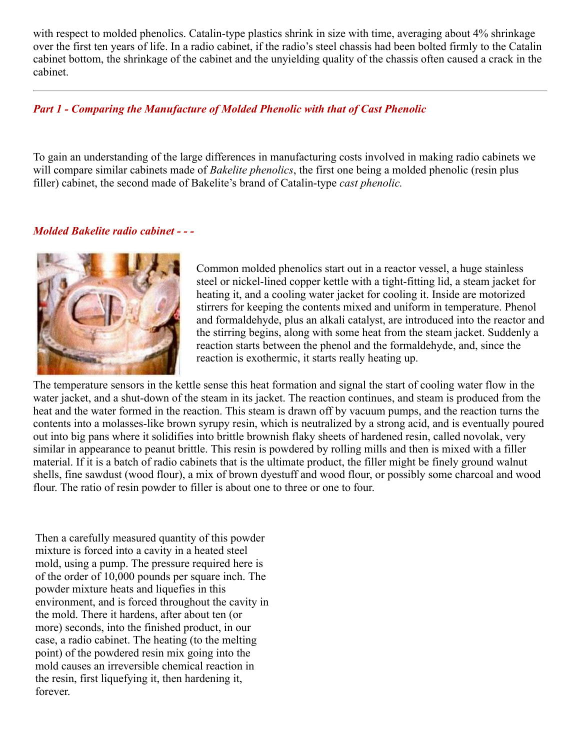with respect to molded phenolics. Catalin-type plastics shrink in size with time, averaging about 4% shrinkage over the first ten years of life. In a radio cabinet, if the radio's steel chassis had been bolted firmly to the Catalin cabinet bottom, the shrinkage of the cabinet and the unyielding quality of the chassis often caused a crack in the cabinet.

#### *Part 1 - Comparing the Manufacture of Molded Phenolic with that of Cast Phenolic*

To gain an understanding of the large differences in manufacturing costs involved in making radio cabinets we will compare similar cabinets made of *Bakelite phenolics*, the first one being a molded phenolic (resin plus filler) cabinet, the second made of Bakelite's brand of Catalin-type *cast phenolic.*

#### *Molded Bakelite radio cabinet - - -*



Common molded phenolics start out in a reactor vessel, a huge stainless steel or nickel-lined copper kettle with a tight-fitting lid, a steam jacket for heating it, and a cooling water jacket for cooling it. Inside are motorized stirrers for keeping the contents mixed and uniform in temperature. Phenol and formaldehyde, plus an alkali catalyst, are introduced into the reactor and the stirring begins, along with some heat from the steam jacket. Suddenly a reaction starts between the phenol and the formaldehyde, and, since the reaction is exothermic, it starts really heating up.

The temperature sensors in the kettle sense this heat formation and signal the start of cooling water flow in the water jacket, and a shut-down of the steam in its jacket. The reaction continues, and steam is produced from the heat and the water formed in the reaction. This steam is drawn off by vacuum pumps, and the reaction turns the contents into a molasses-like brown syrupy resin, which is neutralized by a strong acid, and is eventually poured out into big pans where it solidifies into brittle brownish flaky sheets of hardened resin, called novolak, very similar in appearance to peanut brittle. This resin is powdered by rolling mills and then is mixed with a filler material. If it is a batch of radio cabinets that is the ultimate product, the filler might be finely ground walnut shells, fine sawdust (wood flour), a mix of brown dyestuff and wood flour, or possibly some charcoal and wood flour. The ratio of resin powder to filler is about one to three or one to four.

Then a carefully measured quantity of this powder mixture is forced into a cavity in a heated steel mold, using a pump. The pressure required here is of the order of 10,000 pounds per square inch. The powder mixture heats and liquefies in this environment, and is forced throughout the cavity in the mold. There it hardens, after about ten (or more) seconds, into the finished product, in our case, a radio cabinet. The heating (to the melting point) of the powdered resin mix going into the mold causes an irreversible chemical reaction in the resin, first liquefying it, then hardening it, forever.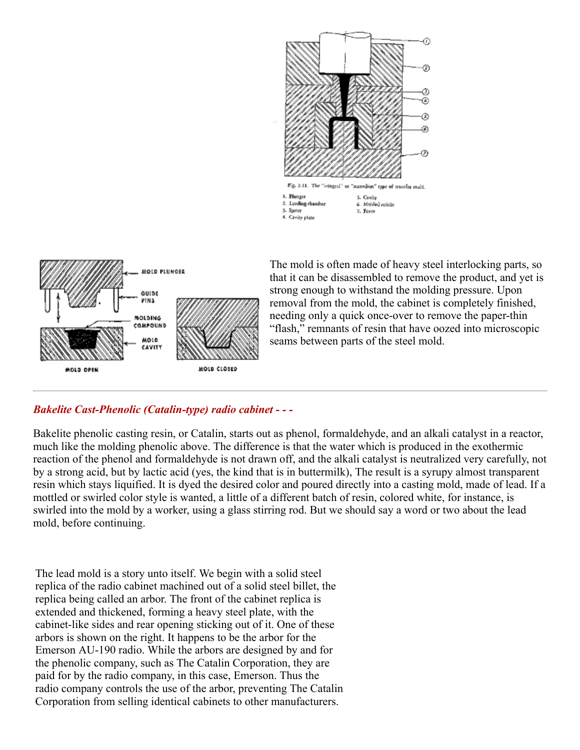



The mold is often made of heavy steel interlocking parts, so that it can be disassembled to remove the product, and yet is strong enough to withstand the molding pressure. Upon removal from the mold, the cabinet is completely finished, needing only a quick once-over to remove the paper-thin "flash," remnants of resin that have oozed into microscopic seams between parts of the steel mold.

#### *Bakelite Cast-Phenolic (Catalin-type) radio cabinet - - -*

Bakelite phenolic casting resin, or Catalin, starts out as phenol, formaldehyde, and an alkali catalyst in a reactor, much like the molding phenolic above. The difference is that the water which is produced in the exothermic reaction of the phenol and formaldehyde is not drawn off, and the alkali catalyst is neutralized very carefully, not by a strong acid, but by lactic acid (yes, the kind that is in buttermilk), The result is a syrupy almost transparent resin which stays liquified. It is dyed the desired color and poured directly into a casting mold, made of lead. If a mottled or swirled color style is wanted, a little of a different batch of resin, colored white, for instance, is swirled into the mold by a worker, using a glass stirring rod. But we should say a word or two about the lead mold, before continuing.

The lead mold is a story unto itself. We begin with a solid steel replica of the radio cabinet machined out of a solid steel billet, the replica being called an arbor. The front of the cabinet replica is extended and thickened, forming a heavy steel plate, with the cabinet-like sides and rear opening sticking out of it. One of these arbors is shown on the right. It happens to be the arbor for the Emerson AU-190 radio. While the arbors are designed by and for the phenolic company, such as The Catalin Corporation, they are paid for by the radio company, in this case, Emerson. Thus the radio company controls the use of the arbor, preventing The Catalin Corporation from selling identical cabinets to other manufacturers.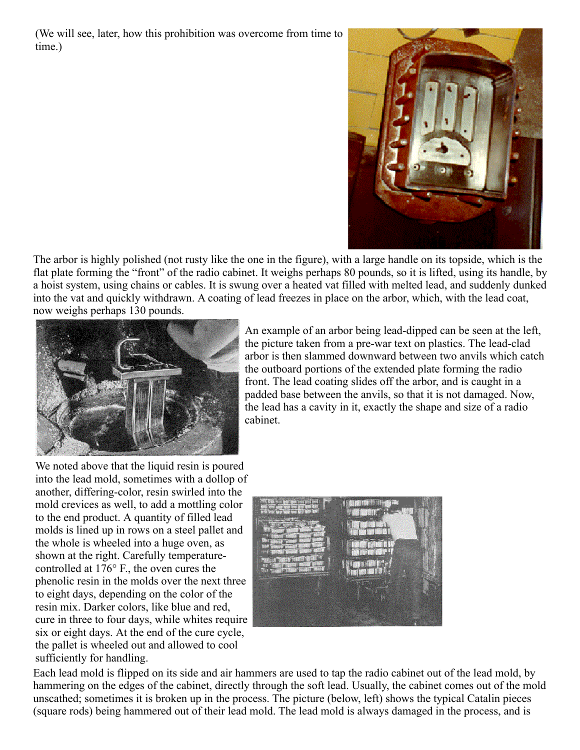(We will see, later, how this prohibition was overcome from time to time.)



The arbor is highly polished (not rusty like the one in the figure), with a large handle on its topside, which is the flat plate forming the "front" of the radio cabinet. It weighs perhaps 80 pounds, so it is lifted, using its handle, by a hoist system, using chains or cables. It is swung over a heated vat filled with melted lead, and suddenly dunked into the vat and quickly withdrawn. A coating of lead freezes in place on the arbor, which, with the lead coat, now weighs perhaps 130 pounds.



An example of an arbor being lead-dipped can be seen at the left, the picture taken from a pre-war text on plastics. The lead-clad arbor is then slammed downward between two anvils which catch the outboard portions of the extended plate forming the radio front. The lead coating slides off the arbor, and is caught in a padded base between the anvils, so that it is not damaged. Now, the lead has a cavity in it, exactly the shape and size of a radio cabinet.

We noted above that the liquid resin is poured into the lead mold, sometimes with a dollop of another, differing-color, resin swirled into the mold crevices as well, to add a mottling color to the end product. A quantity of filled lead molds is lined up in rows on a steel pallet and the whole is wheeled into a huge oven, as shown at the right. Carefully temperaturecontrolled at 176° F., the oven cures the phenolic resin in the molds over the next three to eight days, depending on the color of the resin mix. Darker colors, like blue and red, cure in three to four days, while whites require six or eight days. At the end of the cure cycle, the pallet is wheeled out and allowed to cool sufficiently for handling.



Each lead mold is flipped on its side and air hammers are used to tap the radio cabinet out of the lead mold, by hammering on the edges of the cabinet, directly through the soft lead. Usually, the cabinet comes out of the mold unscathed; sometimes it is broken up in the process. The picture (below, left) shows the typical Catalin pieces (square rods) being hammered out of their lead mold. The lead mold is always damaged in the process, and is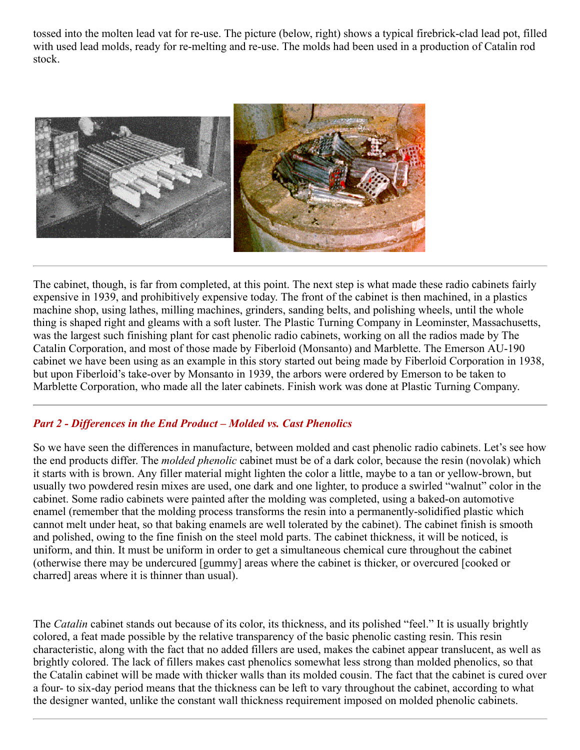tossed into the molten lead vat for re-use. The picture (below, right) shows a typical firebrick-clad lead pot, filled with used lead molds, ready for re-melting and re-use. The molds had been used in a production of Catalin rod stock.



The cabinet, though, is far from completed, at this point. The next step is what made these radio cabinets fairly expensive in 1939, and prohibitively expensive today. The front of the cabinet is then machined, in a plastics machine shop, using lathes, milling machines, grinders, sanding belts, and polishing wheels, until the whole thing is shaped right and gleams with a soft luster. The Plastic Turning Company in Leominster, Massachusetts, was the largest such finishing plant for cast phenolic radio cabinets, working on all the radios made by The Catalin Corporation, and most of those made by Fiberloid (Monsanto) and Marblette. The Emerson AU-190 cabinet we have been using as an example in this story started out being made by Fiberloid Corporation in 1938, but upon Fiberloid's take-over by Monsanto in 1939, the arbors were ordered by Emerson to be taken to Marblette Corporation, who made all the later cabinets. Finish work was done at Plastic Turning Company.

### *Part 2 - Differences in the End Product – Molded vs. Cast Phenolics*

So we have seen the differences in manufacture, between molded and cast phenolic radio cabinets. Let's see how the end products differ. The *molded phenolic* cabinet must be of a dark color, because the resin (novolak) which it starts with is brown. Any filler material might lighten the color a little, maybe to a tan or yellow-brown, but usually two powdered resin mixes are used, one dark and one lighter, to produce a swirled "walnut" color in the cabinet. Some radio cabinets were painted after the molding was completed, using a baked-on automotive enamel (remember that the molding process transforms the resin into a permanently-solidified plastic which cannot melt under heat, so that baking enamels are well tolerated by the cabinet). The cabinet finish is smooth and polished, owing to the fine finish on the steel mold parts. The cabinet thickness, it will be noticed, is uniform, and thin. It must be uniform in order to get a simultaneous chemical cure throughout the cabinet (otherwise there may be undercured [gummy] areas where the cabinet is thicker, or overcured [cooked or charred] areas where it is thinner than usual).

The *Catalin* cabinet stands out because of its color, its thickness, and its polished "feel." It is usually brightly colored, a feat made possible by the relative transparency of the basic phenolic casting resin. This resin characteristic, along with the fact that no added fillers are used, makes the cabinet appear translucent, as well as brightly colored. The lack of fillers makes cast phenolics somewhat less strong than molded phenolics, so that the Catalin cabinet will be made with thicker walls than its molded cousin. The fact that the cabinet is cured over a four- to six-day period means that the thickness can be left to vary throughout the cabinet, according to what the designer wanted, unlike the constant wall thickness requirement imposed on molded phenolic cabinets.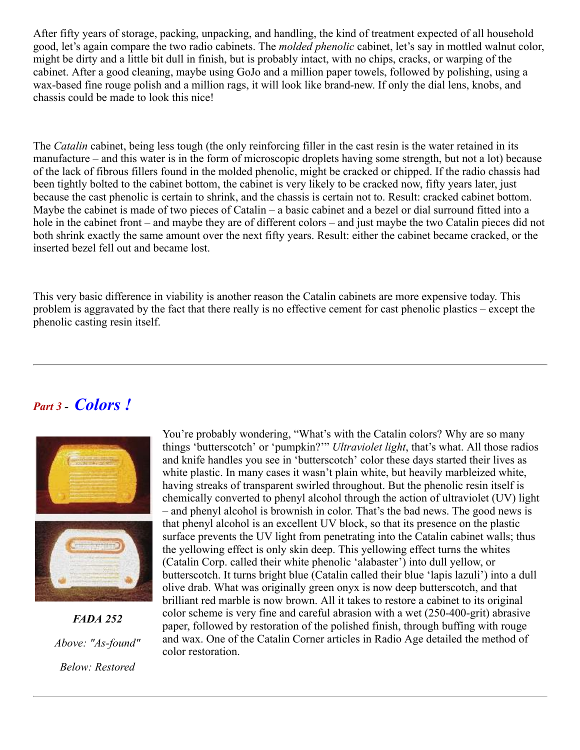After fifty years of storage, packing, unpacking, and handling, the kind of treatment expected of all household good, let's again compare the two radio cabinets. The *molded phenolic* cabinet, let's say in mottled walnut color, might be dirty and a little bit dull in finish, but is probably intact, with no chips, cracks, or warping of the cabinet. After a good cleaning, maybe using GoJo and a million paper towels, followed by polishing, using a wax-based fine rouge polish and a million rags, it will look like brand-new. If only the dial lens, knobs, and chassis could be made to look this nice!

The *Catalin* cabinet, being less tough (the only reinforcing filler in the cast resin is the water retained in its manufacture – and this water is in the form of microscopic droplets having some strength, but not a lot) because of the lack of fibrous fillers found in the molded phenolic, might be cracked or chipped. If the radio chassis had been tightly bolted to the cabinet bottom, the cabinet is very likely to be cracked now, fifty years later, just because the cast phenolic is certain to shrink, and the chassis is certain not to. Result: cracked cabinet bottom. Maybe the cabinet is made of two pieces of Catalin – a basic cabinet and a bezel or dial surround fitted into a hole in the cabinet front – and maybe they are of different colors – and just maybe the two Catalin pieces did not both shrink exactly the same amount over the next fifty years. Result: either the cabinet became cracked, or the inserted bezel fell out and became lost.

This very basic difference in viability is another reason the Catalin cabinets are more expensive today. This problem is aggravated by the fact that there really is no effective cement for cast phenolic plastics – except the phenolic casting resin itself.

## *Part 3 - Colors !*



*FADA 252 Above: "As-found" Below: Restored*

You're probably wondering, "What's with the Catalin colors? Why are so many things 'butterscotch' or 'pumpkin?'" *Ultraviolet light*, that's what. All those radios and knife handles you see in 'butterscotch' color these days started their lives as white plastic. In many cases it wasn't plain white, but heavily marbleized white, having streaks of transparent swirled throughout. But the phenolic resin itself is chemically converted to phenyl alcohol through the action of ultraviolet (UV) light – and phenyl alcohol is brownish in color. That's the bad news. The good news is that phenyl alcohol is an excellent UV block, so that its presence on the plastic surface prevents the UV light from penetrating into the Catalin cabinet walls; thus the yellowing effect is only skin deep. This yellowing effect turns the whites (Catalin Corp. called their white phenolic 'alabaster') into dull yellow, or butterscotch. It turns bright blue (Catalin called their blue 'lapis lazuli') into a dull olive drab. What was originally green onyx is now deep butterscotch, and that brilliant red marble is now brown. All it takes to restore a cabinet to its original color scheme is very fine and careful abrasion with a wet (250-400-grit) abrasive paper, followed by restoration of the polished finish, through buffing with rouge and wax. One of the Catalin Corner articles in Radio Age detailed the method of color restoration.